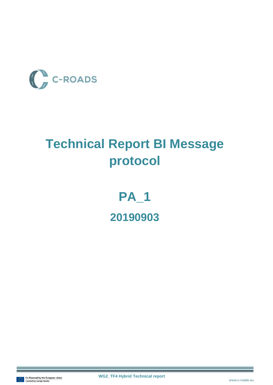

## **Technical Report BI Message protocol**

# **PA\_1 20190903**

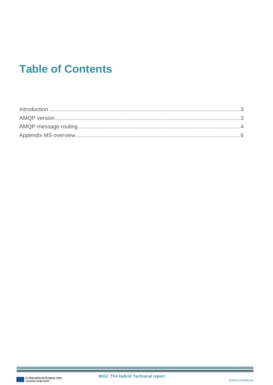### **Table of Contents**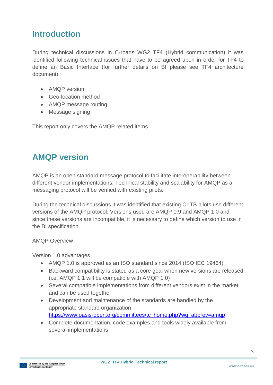#### <span id="page-2-0"></span>**Introduction**

During technical discussions in C-roads WG2 TF4 (Hybrid communication) it was identified following technical issues that have to be agreed upon in order for TF4 to define an Basic Interface (for further details on BI please see TF4 architecture document)

- AMQP version
- Geo-location method
- AMQP message routing
- Message signing

This report only covers the AMQP related items.

#### <span id="page-2-1"></span>**AMQP version**

AMQP is an open standard message protocol to facilitate interoperability between different vendor implementations. Technical stability and scalability for AMQP as a messaging protocol will be verified with existing pilots.

During the technical discussions it was identified that existing C-ITS pilots use different versions of the AMQP protocol. Versions used are AMQP 0.9 and AMQP 1.0 and since these versions are incompatible, it is necessary to define which version to use in the BI specification.

#### AMQP Overview

Version 1.0 advantages

- AMQP 1.0 is approved as an ISO standard since 2014 (ISO IEC 19464)
- Backward compatibility is stated as a core goal when new versions are released (i.e. AMQP 1.1 will be compatible with AMQP 1.0)
- Several compatible implementations from different vendors exist in the market and can be used together
- Development and maintenance of the standards are handled by the appropriate standard organization [https://www.oasis-open.org/committees/tc\\_home.php?wg\\_abbrev=amqp](https://www.oasis-open.org/committees/tc_home.php?wg_abbrev=amqp)
- Complete documentation, code examples and tools widely available from several implementations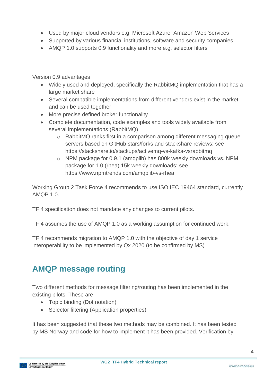- Used by major cloud vendors e.g. Microsoft Azure, Amazon Web Services
- Supported by various financial institutions, software and security companies
- AMQP 1.0 supports 0.9 functionality and more e.g. selector filters

Version 0.9 advantages

- Widely used and deployed, specifically the RabbitMQ implementation that has a large market share
- Several compatible implementations from different vendors exist in the market and can be used together
- More precise defined broker functionality
- Complete documentation, code examples and tools widely available from several implementations (RabbitMQ)
	- $\circ$  RabbitMQ ranks first in a comparison among different messaging queue servers based on GitHub stars/forks and stackshare reviews: see https://stackshare.io/stackups/activemq-vs-kafka-vsrabbitmq
	- o NPM package for 0.9.1 (amqplib) has 800k weekly downloads vs. NPM package for 1.0 (rhea) 15k weekly downloads: see https://www.npmtrends.com/amqplib-vs-rhea

Working Group 2 Task Force 4 recommends to use ISO IEC 19464 standard, currently AMQP 1.0.

TF 4 specification does not mandate any changes to current pilots.

TF 4 assumes the use of AMQP 1.0 as a working assumption for continued work.

TF 4 recommends migration to AMQP 1.0 with the objective of day 1 service interoperability to be implemented by Qx 2020 (to be confirmed by MS)

#### <span id="page-3-0"></span>**AMQP message routing**

Two different methods for message filtering/routing has been implemented in the existing pilots. These are

- Topic binding (Dot notation)
- Selector filtering (Application properties)

It has been suggested that these two methods may be combined. It has been tested by MS Norway and code for how to implement it has been provided. Verification by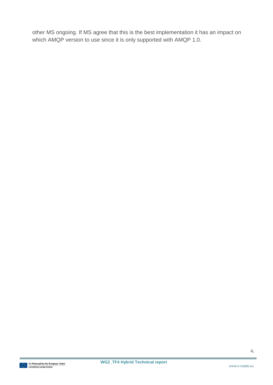other MS ongoing. If MS agree that this is the best implementation it has an impact on which AMQP version to use since it is only supported with AMQP 1.0.